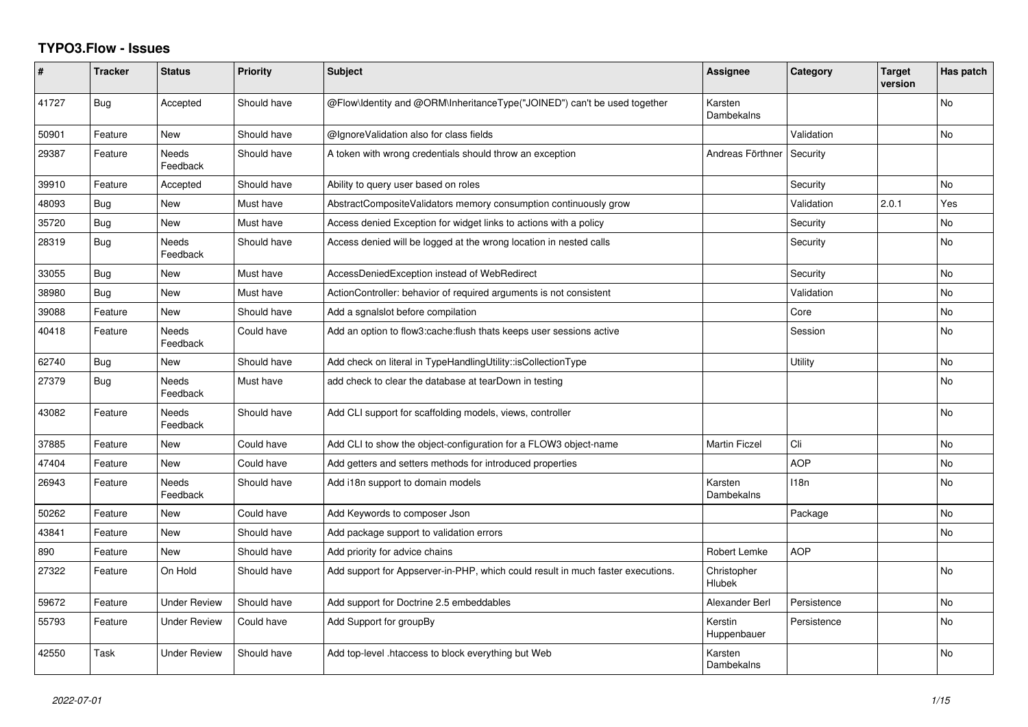## **TYPO3.Flow - Issues**

| ∦     | <b>Tracker</b> | <b>Status</b>       | <b>Priority</b> | <b>Subject</b>                                                                  | Assignee               | Category    | <b>Target</b><br>version | Has patch      |
|-------|----------------|---------------------|-----------------|---------------------------------------------------------------------------------|------------------------|-------------|--------------------------|----------------|
| 41727 | Bug            | Accepted            | Should have     | @Flow\Identity and @ORM\InheritanceType("JOINED") can't be used together        | Karsten<br>Dambekalns  |             |                          | <b>No</b>      |
| 50901 | Feature        | <b>New</b>          | Should have     | @IgnoreValidation also for class fields                                         |                        | Validation  |                          | No             |
| 29387 | Feature        | Needs<br>Feedback   | Should have     | A token with wrong credentials should throw an exception                        | Andreas Förthner       | Security    |                          |                |
| 39910 | Feature        | Accepted            | Should have     | Ability to query user based on roles                                            |                        | Security    |                          | <b>No</b>      |
| 48093 | Bug            | <b>New</b>          | Must have       | AbstractCompositeValidators memory consumption continuously grow                |                        | Validation  | 2.0.1                    | Yes            |
| 35720 | Bug            | New                 | Must have       | Access denied Exception for widget links to actions with a policy               |                        | Security    |                          | No             |
| 28319 | <b>Bug</b>     | Needs<br>Feedback   | Should have     | Access denied will be logged at the wrong location in nested calls              |                        | Security    |                          | No             |
| 33055 | Bug            | <b>New</b>          | Must have       | AccessDeniedException instead of WebRedirect                                    |                        | Security    |                          | No             |
| 38980 | <b>Bug</b>     | <b>New</b>          | Must have       | ActionController: behavior of required arguments is not consistent              |                        | Validation  |                          | No             |
| 39088 | Feature        | <b>New</b>          | Should have     | Add a sgnalslot before compilation                                              |                        | Core        |                          | No             |
| 40418 | Feature        | Needs<br>Feedback   | Could have      | Add an option to flow3: cache: flush thats keeps user sessions active           |                        | Session     |                          | <b>No</b>      |
| 62740 | Bug            | <b>New</b>          | Should have     | Add check on literal in TypeHandlingUtility::isCollectionType                   |                        | Utility     |                          | <b>No</b>      |
| 27379 | Bug            | Needs<br>Feedback   | Must have       | add check to clear the database at tearDown in testing                          |                        |             |                          | No.            |
| 43082 | Feature        | Needs<br>Feedback   | Should have     | Add CLI support for scaffolding models, views, controller                       |                        |             |                          | <b>No</b>      |
| 37885 | Feature        | <b>New</b>          | Could have      | Add CLI to show the object-configuration for a FLOW3 object-name                | <b>Martin Ficzel</b>   | Cli         |                          | No             |
| 47404 | Feature        | <b>New</b>          | Could have      | Add getters and setters methods for introduced properties                       |                        | <b>AOP</b>  |                          | N <sub>o</sub> |
| 26943 | Feature        | Needs<br>Feedback   | Should have     | Add i18n support to domain models                                               | Karsten<br>Dambekalns  | 118n        |                          | No             |
| 50262 | Feature        | <b>New</b>          | Could have      | Add Keywords to composer Json                                                   |                        | Package     |                          | No.            |
| 43841 | Feature        | <b>New</b>          | Should have     | Add package support to validation errors                                        |                        |             |                          | No             |
| 890   | Feature        | <b>New</b>          | Should have     | Add priority for advice chains                                                  | Robert Lemke           | <b>AOP</b>  |                          |                |
| 27322 | Feature        | On Hold             | Should have     | Add support for Appserver-in-PHP, which could result in much faster executions. | Christopher<br>Hlubek  |             |                          | <b>No</b>      |
| 59672 | Feature        | <b>Under Review</b> | Should have     | Add support for Doctrine 2.5 embeddables                                        | Alexander Berl         | Persistence |                          | No             |
| 55793 | Feature        | <b>Under Review</b> | Could have      | Add Support for groupBy                                                         | Kerstin<br>Huppenbauer | Persistence |                          | N <sub>o</sub> |
| 42550 | Task           | <b>Under Review</b> | Should have     | Add top-level .htaccess to block everything but Web                             | Karsten<br>Dambekalns  |             |                          | N <sub>o</sub> |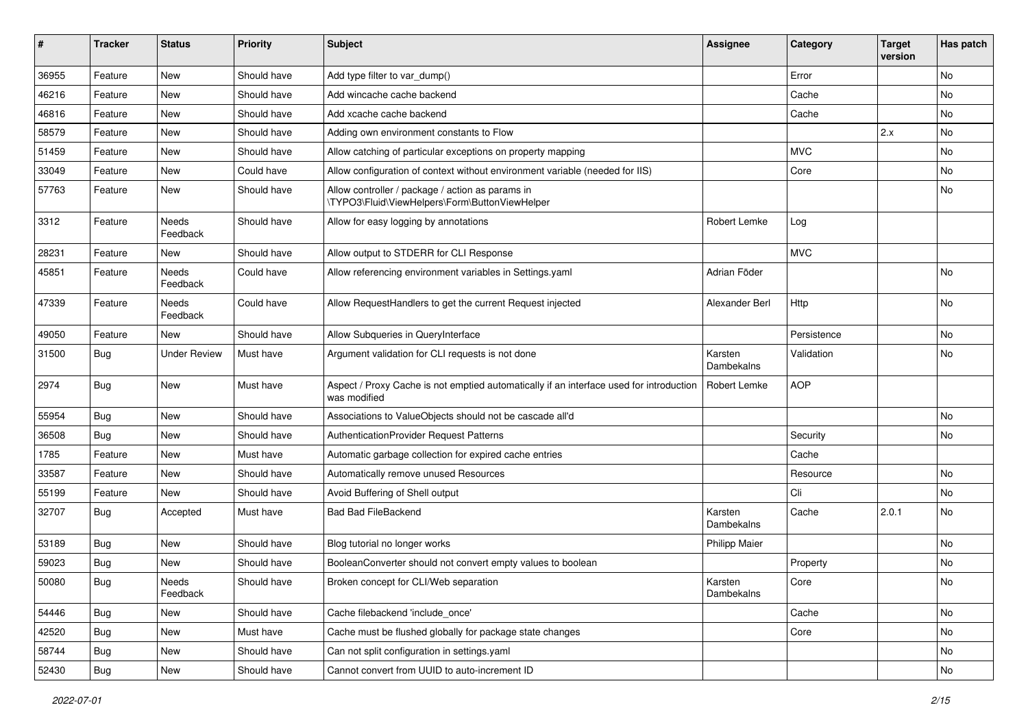| #     | <b>Tracker</b> | <b>Status</b>     | <b>Priority</b> | <b>Subject</b>                                                                                          | <b>Assignee</b>       | Category    | <b>Target</b><br>version | Has patch |
|-------|----------------|-------------------|-----------------|---------------------------------------------------------------------------------------------------------|-----------------------|-------------|--------------------------|-----------|
| 36955 | Feature        | <b>New</b>        | Should have     | Add type filter to var_dump()                                                                           |                       | Error       |                          | No        |
| 46216 | Feature        | New               | Should have     | Add wincache cache backend                                                                              |                       | Cache       |                          | No        |
| 46816 | Feature        | New               | Should have     | Add xcache cache backend                                                                                |                       | Cache       |                          | No        |
| 58579 | Feature        | New               | Should have     | Adding own environment constants to Flow                                                                |                       |             | 2.x                      | No        |
| 51459 | Feature        | New               | Should have     | Allow catching of particular exceptions on property mapping                                             |                       | <b>MVC</b>  |                          | No        |
| 33049 | Feature        | <b>New</b>        | Could have      | Allow configuration of context without environment variable (needed for IIS)                            |                       | Core        |                          | No        |
| 57763 | Feature        | New               | Should have     | Allow controller / package / action as params in<br>\TYPO3\Fluid\ViewHelpers\Form\ButtonViewHelper      |                       |             |                          | No        |
| 3312  | Feature        | Needs<br>Feedback | Should have     | Allow for easy logging by annotations                                                                   | Robert Lemke          | Log         |                          |           |
| 28231 | Feature        | New               | Should have     | Allow output to STDERR for CLI Response                                                                 |                       | <b>MVC</b>  |                          |           |
| 45851 | Feature        | Needs<br>Feedback | Could have      | Allow referencing environment variables in Settings.yaml                                                | Adrian Föder          |             |                          | No        |
| 47339 | Feature        | Needs<br>Feedback | Could have      | Allow RequestHandlers to get the current Request injected                                               | Alexander Berl        | Http        |                          | No        |
| 49050 | Feature        | New               | Should have     | Allow Subqueries in QueryInterface                                                                      |                       | Persistence |                          | No        |
| 31500 | Bug            | Under Review      | Must have       | Argument validation for CLI requests is not done                                                        | Karsten<br>Dambekalns | Validation  |                          | No        |
| 2974  | Bug            | New               | Must have       | Aspect / Proxy Cache is not emptied automatically if an interface used for introduction<br>was modified | <b>Robert Lemke</b>   | <b>AOP</b>  |                          |           |
| 55954 | Bug            | <b>New</b>        | Should have     | Associations to ValueObjects should not be cascade all'd                                                |                       |             |                          | No        |
| 36508 | Bug            | New               | Should have     | AuthenticationProvider Request Patterns                                                                 |                       | Security    |                          | No        |
| 1785  | Feature        | New               | Must have       | Automatic garbage collection for expired cache entries                                                  |                       | Cache       |                          |           |
| 33587 | Feature        | New               | Should have     | Automatically remove unused Resources                                                                   |                       | Resource    |                          | No        |
| 55199 | Feature        | New               | Should have     | Avoid Buffering of Shell output                                                                         |                       | Cli         |                          | No.       |
| 32707 | Bug            | Accepted          | Must have       | <b>Bad Bad FileBackend</b>                                                                              | Karsten<br>Dambekalns | Cache       | 2.0.1                    | No        |
| 53189 | Bug            | <b>New</b>        | Should have     | Blog tutorial no longer works                                                                           | <b>Philipp Maier</b>  |             |                          | No        |
| 59023 | Bug            | New               | Should have     | BooleanConverter should not convert empty values to boolean                                             |                       | Property    |                          | No        |
| 50080 | Bug            | Needs<br>Feedback | Should have     | Broken concept for CLI/Web separation                                                                   | Karsten<br>Dambekalns | Core        |                          | INO.      |
| 54446 | Bug            | New               | Should have     | Cache filebackend 'include_once'                                                                        |                       | Cache       |                          | No        |
| 42520 | Bug            | <b>New</b>        | Must have       | Cache must be flushed globally for package state changes                                                |                       | Core        |                          | No        |
| 58744 | Bug            | New               | Should have     | Can not split configuration in settings.yaml                                                            |                       |             |                          | No        |
| 52430 | Bug            | New               | Should have     | Cannot convert from UUID to auto-increment ID                                                           |                       |             |                          | No        |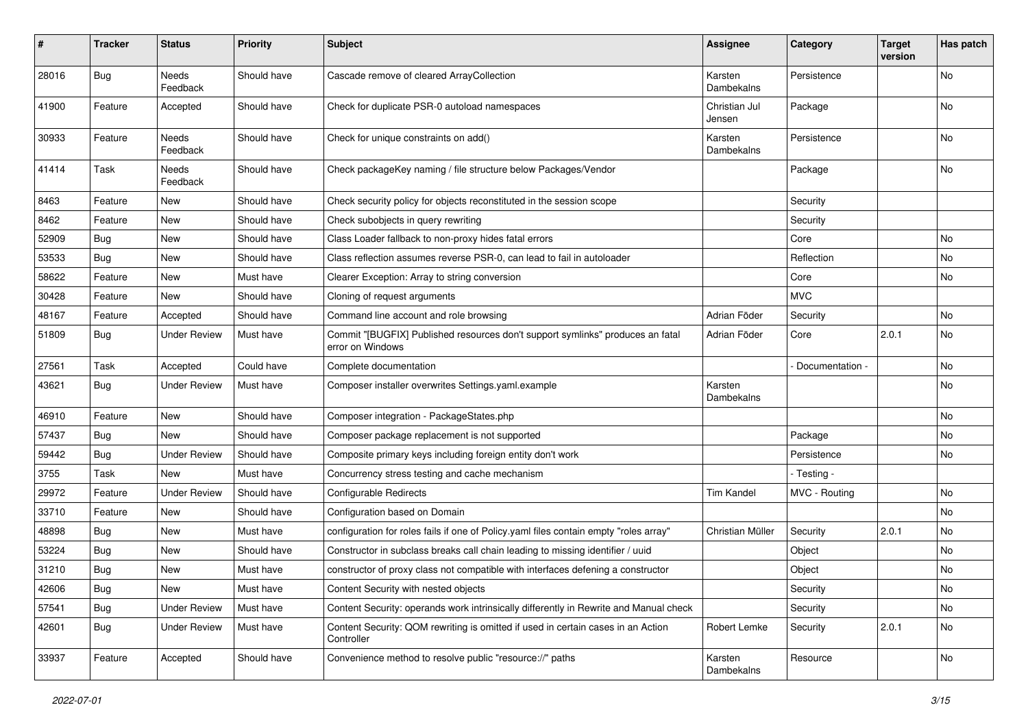| $\vert$ # | <b>Tracker</b> | <b>Status</b>       | <b>Priority</b> | <b>Subject</b>                                                                                     | <b>Assignee</b>         | Category        | <b>Target</b><br>version | Has patch |
|-----------|----------------|---------------------|-----------------|----------------------------------------------------------------------------------------------------|-------------------------|-----------------|--------------------------|-----------|
| 28016     | <b>Bug</b>     | Needs<br>Feedback   | Should have     | Cascade remove of cleared ArrayCollection                                                          | Karsten<br>Dambekalns   | Persistence     |                          | <b>No</b> |
| 41900     | Feature        | Accepted            | Should have     | Check for duplicate PSR-0 autoload namespaces                                                      | Christian Jul<br>Jensen | Package         |                          | No        |
| 30933     | Feature        | Needs<br>Feedback   | Should have     | Check for unique constraints on add()                                                              | Karsten<br>Dambekalns   | Persistence     |                          | No        |
| 41414     | Task           | Needs<br>Feedback   | Should have     | Check packageKey naming / file structure below Packages/Vendor                                     |                         | Package         |                          | No        |
| 8463      | Feature        | New                 | Should have     | Check security policy for objects reconstituted in the session scope                               |                         | Security        |                          |           |
| 8462      | Feature        | New                 | Should have     | Check subobjects in query rewriting                                                                |                         | Security        |                          |           |
| 52909     | <b>Bug</b>     | New                 | Should have     | Class Loader fallback to non-proxy hides fatal errors                                              |                         | Core            |                          | No        |
| 53533     | <b>Bug</b>     | New                 | Should have     | Class reflection assumes reverse PSR-0, can lead to fail in autoloader                             |                         | Reflection      |                          | No        |
| 58622     | Feature        | New                 | Must have       | Clearer Exception: Array to string conversion                                                      |                         | Core            |                          | No        |
| 30428     | Feature        | New                 | Should have     | Cloning of request arguments                                                                       |                         | <b>MVC</b>      |                          |           |
| 48167     | Feature        | Accepted            | Should have     | Command line account and role browsing                                                             | Adrian Föder            | Security        |                          | No        |
| 51809     | <b>Bug</b>     | <b>Under Review</b> | Must have       | Commit "[BUGFIX] Published resources don't support symlinks" produces an fatal<br>error on Windows | Adrian Föder            | Core            | 2.0.1                    | No        |
| 27561     | Task           | Accepted            | Could have      | Complete documentation                                                                             |                         | Documentation - |                          | No        |
| 43621     | <b>Bug</b>     | <b>Under Review</b> | Must have       | Composer installer overwrites Settings.yaml.example                                                | Karsten<br>Dambekalns   |                 |                          | No        |
| 46910     | Feature        | New                 | Should have     | Composer integration - PackageStates.php                                                           |                         |                 |                          | No        |
| 57437     | <b>Bug</b>     | <b>New</b>          | Should have     | Composer package replacement is not supported                                                      |                         | Package         |                          | <b>No</b> |
| 59442     | <b>Bug</b>     | <b>Under Review</b> | Should have     | Composite primary keys including foreign entity don't work                                         |                         | Persistence     |                          | No        |
| 3755      | Task           | New                 | Must have       | Concurrency stress testing and cache mechanism                                                     |                         | - Testing -     |                          |           |
| 29972     | Feature        | <b>Under Review</b> | Should have     | <b>Configurable Redirects</b>                                                                      | <b>Tim Kandel</b>       | MVC - Routing   |                          | No        |
| 33710     | Feature        | <b>New</b>          | Should have     | Configuration based on Domain                                                                      |                         |                 |                          | <b>No</b> |
| 48898     | <b>Bug</b>     | New                 | Must have       | configuration for roles fails if one of Policy yaml files contain empty "roles array"              | Christian Müller        | Security        | 2.0.1                    | No        |
| 53224     | Bug            | New                 | Should have     | Constructor in subclass breaks call chain leading to missing identifier / uuid                     |                         | Object          |                          | No        |
| 31210     | <b>Bug</b>     | New                 | Must have       | constructor of proxy class not compatible with interfaces defening a constructor                   |                         | Object          |                          | No        |
| 42606     | <b>Bug</b>     | New                 | Must have       | Content Security with nested objects                                                               |                         | Security        |                          | No        |
| 57541     | <b>Bug</b>     | <b>Under Review</b> | Must have       | Content Security: operands work intrinsically differently in Rewrite and Manual check              |                         | Security        |                          | No        |
| 42601     | <b>Bug</b>     | <b>Under Review</b> | Must have       | Content Security: QOM rewriting is omitted if used in certain cases in an Action<br>Controller     | Robert Lemke            | Security        | 2.0.1                    | No        |
| 33937     | Feature        | Accepted            | Should have     | Convenience method to resolve public "resource://" paths                                           | Karsten<br>Dambekalns   | Resource        |                          | No        |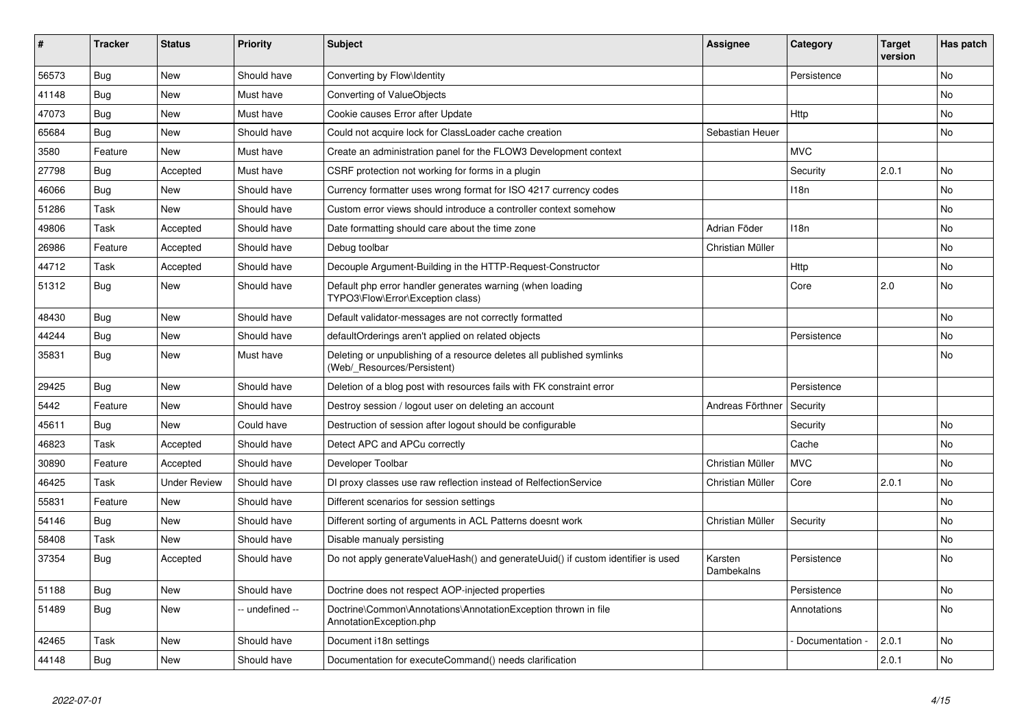| ∦     | <b>Tracker</b> | <b>Status</b>       | <b>Priority</b> | <b>Subject</b>                                                                                       | Assignee              | Category         | <b>Target</b><br>version | Has patch |
|-------|----------------|---------------------|-----------------|------------------------------------------------------------------------------------------------------|-----------------------|------------------|--------------------------|-----------|
| 56573 | Bug            | <b>New</b>          | Should have     | Converting by Flow\Identity                                                                          |                       | Persistence      |                          | <b>No</b> |
| 41148 | <b>Bug</b>     | <b>New</b>          | Must have       | Converting of ValueObjects                                                                           |                       |                  |                          | <b>No</b> |
| 47073 | Bug            | <b>New</b>          | Must have       | Cookie causes Error after Update                                                                     |                       | Http             |                          | <b>No</b> |
| 65684 | Bug            | <b>New</b>          | Should have     | Could not acquire lock for ClassLoader cache creation                                                | Sebastian Heuer       |                  |                          | <b>No</b> |
| 3580  | Feature        | <b>New</b>          | Must have       | Create an administration panel for the FLOW3 Development context                                     |                       | <b>MVC</b>       |                          |           |
| 27798 | <b>Bug</b>     | Accepted            | Must have       | CSRF protection not working for forms in a plugin                                                    |                       | Security         | 2.0.1                    | <b>No</b> |
| 46066 | Bug            | <b>New</b>          | Should have     | Currency formatter uses wrong format for ISO 4217 currency codes                                     |                       | 118n             |                          | <b>No</b> |
| 51286 | Task           | <b>New</b>          | Should have     | Custom error views should introduce a controller context somehow                                     |                       |                  |                          | <b>No</b> |
| 49806 | Task           | Accepted            | Should have     | Date formatting should care about the time zone                                                      | Adrian Föder          | 118 <sub>n</sub> |                          | <b>No</b> |
| 26986 | Feature        | Accepted            | Should have     | Debug toolbar                                                                                        | Christian Müller      |                  |                          | <b>No</b> |
| 44712 | Task           | Accepted            | Should have     | Decouple Argument-Building in the HTTP-Request-Constructor                                           |                       | Http             |                          | <b>No</b> |
| 51312 | Bug            | <b>New</b>          | Should have     | Default php error handler generates warning (when loading<br>TYPO3\Flow\Error\Exception class)       |                       | Core             | 2.0                      | <b>No</b> |
| 48430 | Bug            | <b>New</b>          | Should have     | Default validator-messages are not correctly formatted                                               |                       |                  |                          | <b>No</b> |
| 44244 | Bug            | <b>New</b>          | Should have     | defaultOrderings aren't applied on related objects                                                   |                       | Persistence      |                          | <b>No</b> |
| 35831 | Bug            | <b>New</b>          | Must have       | Deleting or unpublishing of a resource deletes all published symlinks<br>(Web/ Resources/Persistent) |                       |                  |                          | <b>No</b> |
| 29425 | Bug            | <b>New</b>          | Should have     | Deletion of a blog post with resources fails with FK constraint error                                |                       | Persistence      |                          |           |
| 5442  | Feature        | <b>New</b>          | Should have     | Destroy session / logout user on deleting an account                                                 | Andreas Förthner      | Security         |                          |           |
| 45611 | Bug            | <b>New</b>          | Could have      | Destruction of session after logout should be configurable                                           |                       | Security         |                          | <b>No</b> |
| 46823 | Task           | Accepted            | Should have     | Detect APC and APCu correctly                                                                        |                       | Cache            |                          | No        |
| 30890 | Feature        | Accepted            | Should have     | Developer Toolbar                                                                                    | Christian Müller      | <b>MVC</b>       |                          | <b>No</b> |
| 46425 | Task           | <b>Under Review</b> | Should have     | DI proxy classes use raw reflection instead of RelfectionService                                     | Christian Müller      | Core             | 2.0.1                    | <b>No</b> |
| 55831 | Feature        | <b>New</b>          | Should have     | Different scenarios for session settings                                                             |                       |                  |                          | <b>No</b> |
| 54146 | <b>Bug</b>     | <b>New</b>          | Should have     | Different sorting of arguments in ACL Patterns doesnt work                                           | Christian Müller      | Security         |                          | No        |
| 58408 | Task           | <b>New</b>          | Should have     | Disable manualy persisting                                                                           |                       |                  |                          | <b>No</b> |
| 37354 | Bug            | Accepted            | Should have     | Do not apply generateValueHash() and generateUuid() if custom identifier is used                     | Karsten<br>Dambekalns | Persistence      |                          | No        |
| 51188 | Bug            | <b>New</b>          | Should have     | Doctrine does not respect AOP-injected properties                                                    |                       | Persistence      |                          | No        |
| 51489 | Bug            | <b>New</b>          | -- undefined -- | Doctrine\Common\Annotations\AnnotationException thrown in file<br>AnnotationException.php            |                       | Annotations      |                          | No        |
| 42465 | Task           | <b>New</b>          | Should have     | Document i18n settings                                                                               |                       | Documentation    | 2.0.1                    | <b>No</b> |
| 44148 | <b>Bug</b>     | <b>New</b>          | Should have     | Documentation for executeCommand() needs clarification                                               |                       |                  | 2.0.1                    | No        |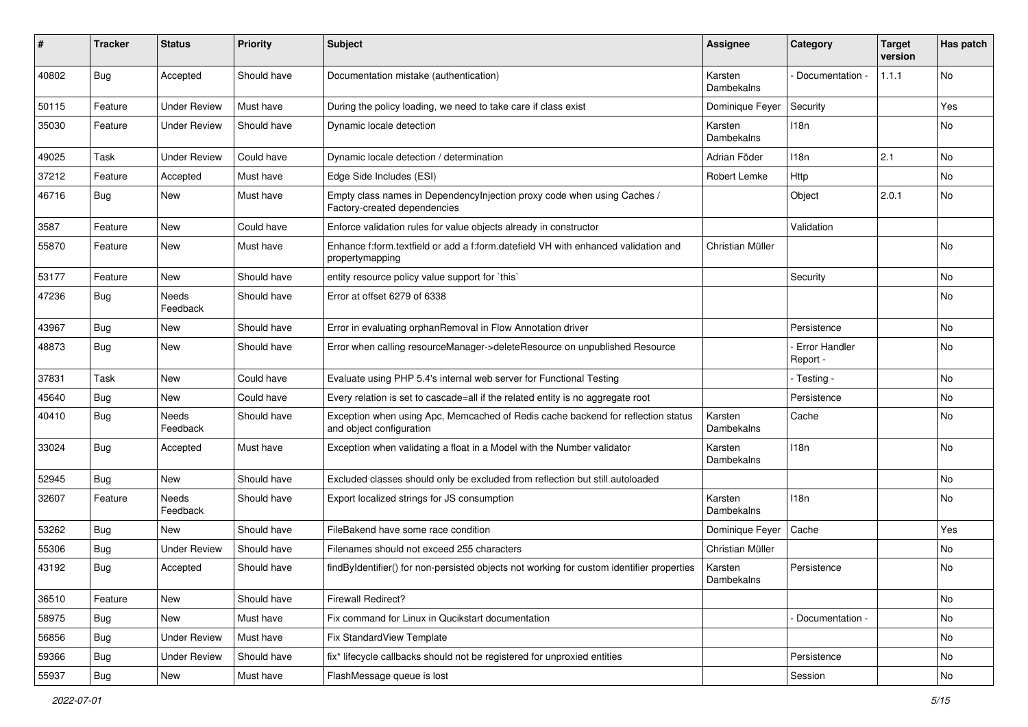| ∦     | <b>Tracker</b> | <b>Status</b>            | <b>Priority</b> | <b>Subject</b>                                                                                               | <b>Assignee</b>              | Category                  | <b>Target</b><br>version | Has patch |
|-------|----------------|--------------------------|-----------------|--------------------------------------------------------------------------------------------------------------|------------------------------|---------------------------|--------------------------|-----------|
| 40802 | <b>Bug</b>     | Accepted                 | Should have     | Documentation mistake (authentication)                                                                       | Karsten<br>Dambekalns        | Documentation -           | 1.1.1                    | No        |
| 50115 | Feature        | <b>Under Review</b>      | Must have       | During the policy loading, we need to take care if class exist                                               | Dominique Feyer              | Security                  |                          | Yes       |
| 35030 | Feature        | <b>Under Review</b>      | Should have     | Dynamic locale detection                                                                                     | Karsten<br>Dambekalns        | 118n                      |                          | No        |
| 49025 | Task           | <b>Under Review</b>      | Could have      | Dynamic locale detection / determination                                                                     | Adrian Föder                 | 118n                      | 2.1                      | <b>No</b> |
| 37212 | Feature        | Accepted                 | Must have       | Edge Side Includes (ESI)                                                                                     | Robert Lemke                 | Http                      |                          | No        |
| 46716 | <b>Bug</b>     | New                      | Must have       | Empty class names in Dependencylnjection proxy code when using Caches /<br>Factory-created dependencies      |                              | Object                    | 2.0.1                    | No        |
| 3587  | Feature        | <b>New</b>               | Could have      | Enforce validation rules for value objects already in constructor                                            |                              | Validation                |                          |           |
| 55870 | Feature        | New                      | Must have       | Enhance f:form.textfield or add a f:form.datefield VH with enhanced validation and<br>propertymapping        | Christian Müller             |                           |                          | No        |
| 53177 | Feature        | <b>New</b>               | Should have     | entity resource policy value support for `this`                                                              |                              | Security                  |                          | <b>No</b> |
| 47236 | <b>Bug</b>     | <b>Needs</b><br>Feedback | Should have     | Error at offset 6279 of 6338                                                                                 |                              |                           |                          | No        |
| 43967 | <b>Bug</b>     | New                      | Should have     | Error in evaluating orphanRemoval in Flow Annotation driver                                                  |                              | Persistence               |                          | No        |
| 48873 | <b>Bug</b>     | New                      | Should have     | Error when calling resourceManager->deleteResource on unpublished Resource                                   |                              | Error Handler<br>Report - |                          | No        |
| 37831 | Task           | <b>New</b>               | Could have      | Evaluate using PHP 5.4's internal web server for Functional Testing                                          |                              | - Testing -               |                          | <b>No</b> |
| 45640 | <b>Bug</b>     | New                      | Could have      | Every relation is set to cascade=all if the related entity is no aggregate root                              |                              | Persistence               |                          | No        |
| 40410 | <b>Bug</b>     | Needs<br>Feedback        | Should have     | Exception when using Apc, Memcached of Redis cache backend for reflection status<br>and object configuration | Karsten<br><b>Dambekalns</b> | Cache                     |                          | No        |
| 33024 | <b>Bug</b>     | Accepted                 | Must have       | Exception when validating a float in a Model with the Number validator                                       | Karsten<br>Dambekalns        | 118n                      |                          | No        |
| 52945 | <b>Bug</b>     | New                      | Should have     | Excluded classes should only be excluded from reflection but still autoloaded                                |                              |                           |                          | <b>No</b> |
| 32607 | Feature        | Needs<br>Feedback        | Should have     | Export localized strings for JS consumption                                                                  | Karsten<br>Dambekalns        | 118n                      |                          | No        |
| 53262 | <b>Bug</b>     | New                      | Should have     | FileBakend have some race condition                                                                          | Dominique Feyer              | Cache                     |                          | Yes       |
| 55306 | <b>Bug</b>     | <b>Under Review</b>      | Should have     | Filenames should not exceed 255 characters                                                                   | Christian Müller             |                           |                          | No        |
| 43192 | <b>Bug</b>     | Accepted                 | Should have     | findByIdentifier() for non-persisted objects not working for custom identifier properties                    | Karsten<br>Dambekalns        | Persistence               |                          | No        |
| 36510 | Feature        | New                      | Should have     | Firewall Redirect?                                                                                           |                              |                           |                          | No        |
| 58975 | <b>Bug</b>     | New                      | Must have       | Fix command for Linux in Qucikstart documentation                                                            |                              | - Documentation -         |                          | No        |
| 56856 | <b>Bug</b>     | <b>Under Review</b>      | Must have       | Fix StandardView Template                                                                                    |                              |                           |                          | No        |
| 59366 | <b>Bug</b>     | <b>Under Review</b>      | Should have     | fix* lifecycle callbacks should not be registered for unproxied entities                                     |                              | Persistence               |                          | No        |
| 55937 | <b>Bug</b>     | New                      | Must have       | FlashMessage queue is lost                                                                                   |                              | Session                   |                          | No        |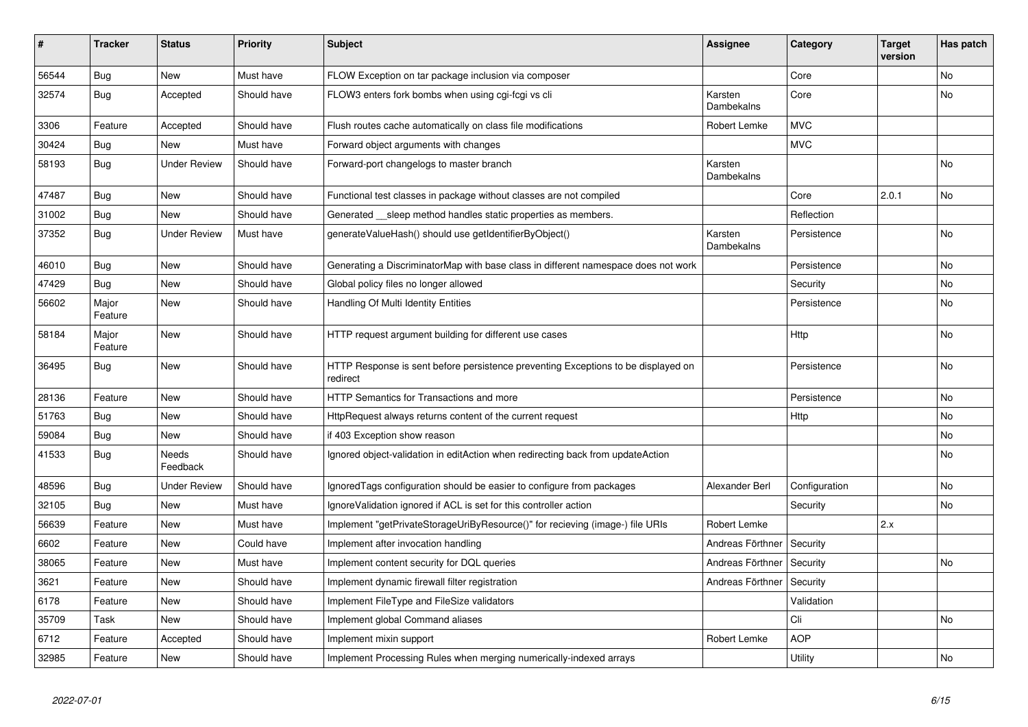| #     | <b>Tracker</b>   | <b>Status</b>       | <b>Priority</b> | <b>Subject</b>                                                                                | <b>Assignee</b>       | Category      | <b>Target</b><br>version | Has patch |
|-------|------------------|---------------------|-----------------|-----------------------------------------------------------------------------------------------|-----------------------|---------------|--------------------------|-----------|
| 56544 | Bug              | <b>New</b>          | Must have       | FLOW Exception on tar package inclusion via composer                                          |                       | Core          |                          | <b>No</b> |
| 32574 | Bug              | Accepted            | Should have     | FLOW3 enters fork bombs when using cgi-fcgi vs cli                                            | Karsten<br>Dambekalns | Core          |                          | <b>No</b> |
| 3306  | Feature          | Accepted            | Should have     | Flush routes cache automatically on class file modifications                                  | Robert Lemke          | <b>MVC</b>    |                          |           |
| 30424 | Bug              | <b>New</b>          | Must have       | Forward object arguments with changes                                                         |                       | <b>MVC</b>    |                          |           |
| 58193 | <b>Bug</b>       | <b>Under Review</b> | Should have     | Forward-port changelogs to master branch                                                      | Karsten<br>Dambekalns |               |                          | <b>No</b> |
| 47487 | Bug              | New                 | Should have     | Functional test classes in package without classes are not compiled                           |                       | Core          | 2.0.1                    | <b>No</b> |
| 31002 | Bug              | <b>New</b>          | Should have     | Generated __sleep method handles static properties as members.                                |                       | Reflection    |                          |           |
| 37352 | Bug              | <b>Under Review</b> | Must have       | generateValueHash() should use getIdentifierByObject()                                        | Karsten<br>Dambekalns | Persistence   |                          | <b>No</b> |
| 46010 | Bug              | <b>New</b>          | Should have     | Generating a DiscriminatorMap with base class in different namespace does not work            |                       | Persistence   |                          | No        |
| 47429 | <b>Bug</b>       | <b>New</b>          | Should have     | Global policy files no longer allowed                                                         |                       | Security      |                          | <b>No</b> |
| 56602 | Major<br>Feature | <b>New</b>          | Should have     | Handling Of Multi Identity Entities                                                           |                       | Persistence   |                          | <b>No</b> |
| 58184 | Major<br>Feature | <b>New</b>          | Should have     | HTTP request argument building for different use cases                                        |                       | <b>Http</b>   |                          | No        |
| 36495 | Bug              | <b>New</b>          | Should have     | HTTP Response is sent before persistence preventing Exceptions to be displayed on<br>redirect |                       | Persistence   |                          | No        |
| 28136 | Feature          | <b>New</b>          | Should have     | <b>HTTP Semantics for Transactions and more</b>                                               |                       | Persistence   |                          | No        |
| 51763 | Bug              | <b>New</b>          | Should have     | HttpRequest always returns content of the current request                                     |                       | Http          |                          | No        |
| 59084 | <b>Bug</b>       | <b>New</b>          | Should have     | if 403 Exception show reason                                                                  |                       |               |                          | No        |
| 41533 | <b>Bug</b>       | Needs<br>Feedback   | Should have     | Ignored object-validation in editAction when redirecting back from updateAction               |                       |               |                          | No        |
| 48596 | Bug              | <b>Under Review</b> | Should have     | IgnoredTags configuration should be easier to configure from packages                         | Alexander Berl        | Configuration |                          | <b>No</b> |
| 32105 | Bug              | New                 | Must have       | IgnoreValidation ignored if ACL is set for this controller action                             |                       | Security      |                          | No        |
| 56639 | Feature          | <b>New</b>          | Must have       | Implement "getPrivateStorageUriByResource()" for recieving (image-) file URIs                 | Robert Lemke          |               | 2.x                      |           |
| 6602  | Feature          | New                 | Could have      | Implement after invocation handling                                                           | Andreas Förthner      | Security      |                          |           |
| 38065 | Feature          | <b>New</b>          | Must have       | Implement content security for DQL queries                                                    | Andreas Förthner      | Security      |                          | No        |
| 3621  | Feature          | New                 | Should have     | Implement dynamic firewall filter registration                                                | Andreas Förthner      | Security      |                          |           |
| 6178  | Feature          | <b>New</b>          | Should have     | Implement FileType and FileSize validators                                                    |                       | Validation    |                          |           |
| 35709 | Task             | <b>New</b>          | Should have     | Implement global Command aliases                                                              |                       | Cli           |                          | No        |
| 6712  | Feature          | Accepted            | Should have     | Implement mixin support                                                                       | Robert Lemke          | <b>AOP</b>    |                          |           |
| 32985 | Feature          | New                 | Should have     | Implement Processing Rules when merging numerically-indexed arrays                            |                       | Utility       |                          | No        |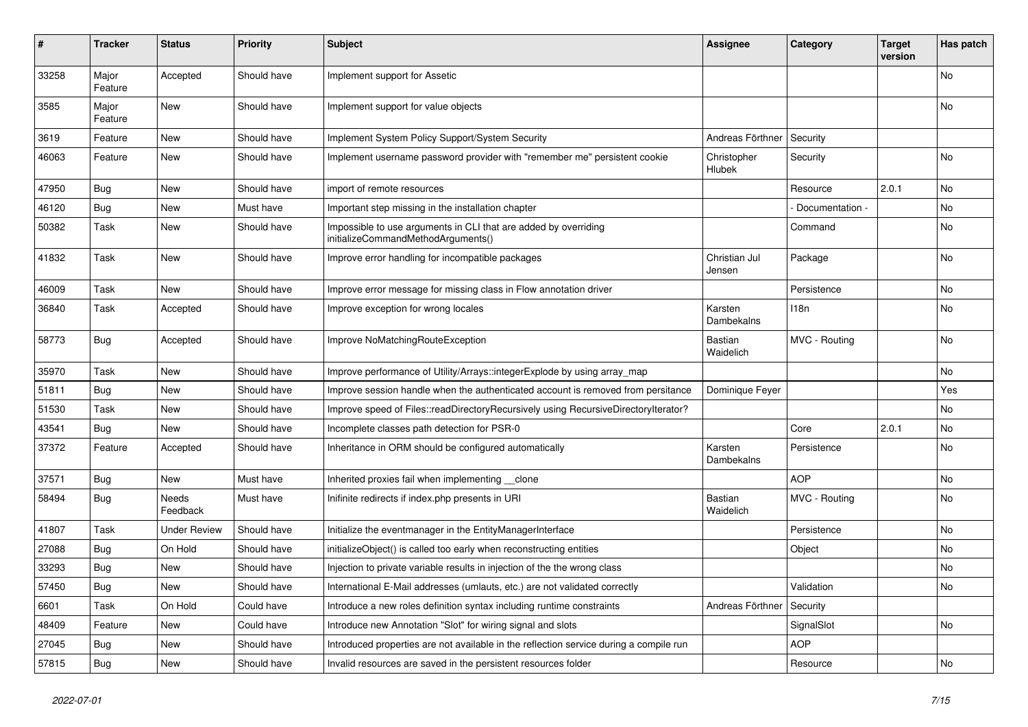| #     | <b>Tracker</b>   | <b>Status</b>       | <b>Priority</b> | <b>Subject</b>                                                                                        | <b>Assignee</b>             | Category         | Target<br>version | Has patch      |
|-------|------------------|---------------------|-----------------|-------------------------------------------------------------------------------------------------------|-----------------------------|------------------|-------------------|----------------|
| 33258 | Major<br>Feature | Accepted            | Should have     | Implement support for Assetic                                                                         |                             |                  |                   | No             |
| 3585  | Major<br>Feature | New                 | Should have     | Implement support for value objects                                                                   |                             |                  |                   | No             |
| 3619  | Feature          | <b>New</b>          | Should have     | Implement System Policy Support/System Security                                                       | Andreas Förthner            | Security         |                   |                |
| 46063 | Feature          | <b>New</b>          | Should have     | Implement username password provider with "remember me" persistent cookie                             | Christopher<br>Hlubek       | Security         |                   | <b>No</b>      |
| 47950 | Bug              | <b>New</b>          | Should have     | import of remote resources                                                                            |                             | Resource         | 2.0.1             | N <sub>o</sub> |
| 46120 | Bug              | <b>New</b>          | Must have       | Important step missing in the installation chapter                                                    |                             | Documentation -  |                   | N <sub>o</sub> |
| 50382 | Task             | <b>New</b>          | Should have     | Impossible to use arguments in CLI that are added by overriding<br>initializeCommandMethodArguments() |                             | Command          |                   | No             |
| 41832 | Task             | New                 | Should have     | Improve error handling for incompatible packages                                                      | Christian Jul<br>Jensen     | Package          |                   | No             |
| 46009 | Task             | <b>New</b>          | Should have     | Improve error message for missing class in Flow annotation driver                                     |                             | Persistence      |                   | <b>No</b>      |
| 36840 | Task             | Accepted            | Should have     | Improve exception for wrong locales                                                                   | Karsten<br>Dambekalns       | 118 <sub>n</sub> |                   | No             |
| 58773 | Bug              | Accepted            | Should have     | Improve NoMatchingRouteException                                                                      | <b>Bastian</b><br>Waidelich | MVC - Routing    |                   | <b>No</b>      |
| 35970 | Task             | New                 | Should have     | Improve performance of Utility/Arrays::integerExplode by using array map                              |                             |                  |                   | No             |
| 51811 | <b>Bug</b>       | <b>New</b>          | Should have     | Improve session handle when the authenticated account is removed from persitance                      | Dominique Feyer             |                  |                   | Yes            |
| 51530 | Task             | New                 | Should have     | Improve speed of Files::readDirectoryRecursively using RecursiveDirectoryIterator?                    |                             |                  |                   | No             |
| 43541 | Bug              | New                 | Should have     | Incomplete classes path detection for PSR-0                                                           |                             | Core             | 2.0.1             | No             |
| 37372 | Feature          | Accepted            | Should have     | Inheritance in ORM should be configured automatically                                                 | Karsten<br>Dambekalns       | Persistence      |                   | No             |
| 37571 | <b>Bug</b>       | <b>New</b>          | Must have       | Inherited proxies fail when implementing __clone                                                      |                             | <b>AOP</b>       |                   | No             |
| 58494 | <b>Bug</b>       | Needs<br>Feedback   | Must have       | Inifinite redirects if index.php presents in URI                                                      | Bastian<br>Waidelich        | MVC - Routing    |                   | No.            |
| 41807 | Task             | <b>Under Review</b> | Should have     | Initialize the eventmanager in the EntityManagerInterface                                             |                             | Persistence      |                   | No             |
| 27088 | Bug              | On Hold             | Should have     | initializeObject() is called too early when reconstructing entities                                   |                             | Object           |                   | No             |
| 33293 | Bug              | <b>New</b>          | Should have     | Injection to private variable results in injection of the the wrong class                             |                             |                  |                   | No             |
| 57450 | <b>Bug</b>       | <b>New</b>          | Should have     | International E-Mail addresses (umlauts, etc.) are not validated correctly                            |                             | Validation       |                   | No             |
| 6601  | Task             | On Hold             | Could have      | Introduce a new roles definition syntax including runtime constraints                                 | Andreas Förthner            | Security         |                   |                |
| 48409 | Feature          | <b>New</b>          | Could have      | Introduce new Annotation "Slot" for wiring signal and slots                                           |                             | SignalSlot       |                   | No             |
| 27045 | <b>Bug</b>       | <b>New</b>          | Should have     | Introduced properties are not available in the reflection service during a compile run                |                             | <b>AOP</b>       |                   |                |
| 57815 | <b>Bug</b>       | <b>New</b>          | Should have     | Invalid resources are saved in the persistent resources folder                                        |                             | Resource         |                   | No             |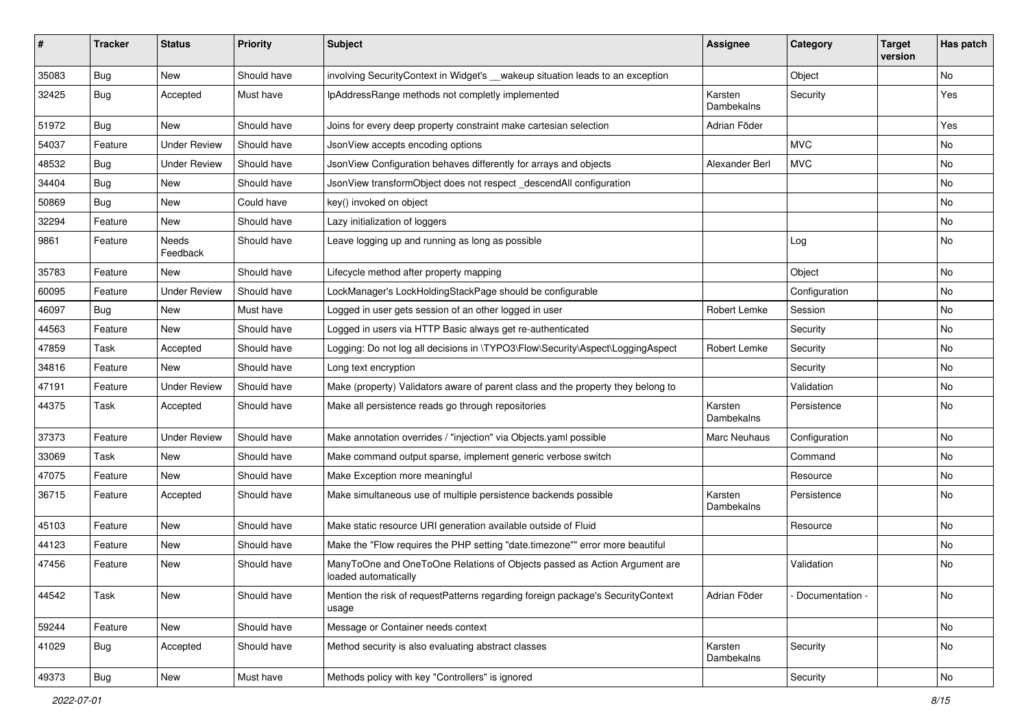| ∦     | <b>Tracker</b> | <b>Status</b>       | <b>Priority</b> | <b>Subject</b>                                                                                    | <b>Assignee</b>       | Category        | <b>Target</b><br>version | Has patch |
|-------|----------------|---------------------|-----------------|---------------------------------------------------------------------------------------------------|-----------------------|-----------------|--------------------------|-----------|
| 35083 | <b>Bug</b>     | New                 | Should have     | involving SecurityContext in Widget's __wakeup situation leads to an exception                    |                       | Object          |                          | No        |
| 32425 | <b>Bug</b>     | Accepted            | Must have       | IpAddressRange methods not completly implemented                                                  | Karsten<br>Dambekalns | Security        |                          | Yes       |
| 51972 | <b>Bug</b>     | New                 | Should have     | Joins for every deep property constraint make cartesian selection                                 | Adrian Föder          |                 |                          | Yes       |
| 54037 | Feature        | <b>Under Review</b> | Should have     | JsonView accepts encoding options                                                                 |                       | <b>MVC</b>      |                          | No        |
| 48532 | <b>Bug</b>     | <b>Under Review</b> | Should have     | JsonView Configuration behaves differently for arrays and objects                                 | Alexander Berl        | <b>MVC</b>      |                          | <b>No</b> |
| 34404 | <b>Bug</b>     | New                 | Should have     | JsonView transformObject does not respect descendAll configuration                                |                       |                 |                          | No        |
| 50869 | <b>Bug</b>     | New                 | Could have      | key() invoked on object                                                                           |                       |                 |                          | No        |
| 32294 | Feature        | New                 | Should have     | Lazy initialization of loggers                                                                    |                       |                 |                          | No        |
| 9861  | Feature        | Needs<br>Feedback   | Should have     | Leave logging up and running as long as possible                                                  |                       | Log             |                          | No        |
| 35783 | Feature        | New                 | Should have     | Lifecycle method after property mapping                                                           |                       | Object          |                          | <b>No</b> |
| 60095 | Feature        | <b>Under Review</b> | Should have     | LockManager's LockHoldingStackPage should be configurable                                         |                       | Configuration   |                          | No        |
| 46097 | <b>Bug</b>     | New                 | Must have       | Logged in user gets session of an other logged in user                                            | Robert Lemke          | Session         |                          | No        |
| 44563 | Feature        | New                 | Should have     | Logged in users via HTTP Basic always get re-authenticated                                        |                       | Security        |                          | No        |
| 47859 | Task           | Accepted            | Should have     | Logging: Do not log all decisions in \TYPO3\Flow\Security\Aspect\LoggingAspect                    | Robert Lemke          | Security        |                          | No        |
| 34816 | Feature        | New                 | Should have     | Long text encryption                                                                              |                       | Security        |                          | No        |
| 47191 | Feature        | <b>Under Review</b> | Should have     | Make (property) Validators aware of parent class and the property they belong to                  |                       | Validation      |                          | No        |
| 44375 | Task           | Accepted            | Should have     | Make all persistence reads go through repositories                                                | Karsten<br>Dambekalns | Persistence     |                          | No        |
| 37373 | Feature        | <b>Under Review</b> | Should have     | Make annotation overrides / "injection" via Objects.yaml possible                                 | Marc Neuhaus          | Configuration   |                          | No        |
| 33069 | Task           | New                 | Should have     | Make command output sparse, implement generic verbose switch                                      |                       | Command         |                          | No        |
| 47075 | Feature        | New                 | Should have     | Make Exception more meaningful                                                                    |                       | Resource        |                          | No        |
| 36715 | Feature        | Accepted            | Should have     | Make simultaneous use of multiple persistence backends possible                                   | Karsten<br>Dambekalns | Persistence     |                          | No        |
| 45103 | Feature        | New                 | Should have     | Make static resource URI generation available outside of Fluid                                    |                       | Resource        |                          | No        |
| 44123 | Feature        | New                 | Should have     | Make the "Flow requires the PHP setting "date.timezone"" error more beautiful                     |                       |                 |                          | No        |
| 47456 | Feature        | New                 | Should have     | ManyToOne and OneToOne Relations of Objects passed as Action Argument are<br>loaded automatically |                       | Validation      |                          | No        |
| 44542 | Task           | New                 | Should have     | Mention the risk of requestPatterns regarding foreign package's SecurityContext<br>usage          | Adrian Föder          | Documentation - |                          | No        |
| 59244 | Feature        | New                 | Should have     | Message or Container needs context                                                                |                       |                 |                          | No        |
| 41029 | <b>Bug</b>     | Accepted            | Should have     | Method security is also evaluating abstract classes                                               | Karsten<br>Dambekalns | Security        |                          | No        |
| 49373 | Bug            | New                 | Must have       | Methods policy with key "Controllers" is ignored                                                  |                       | Security        |                          | No        |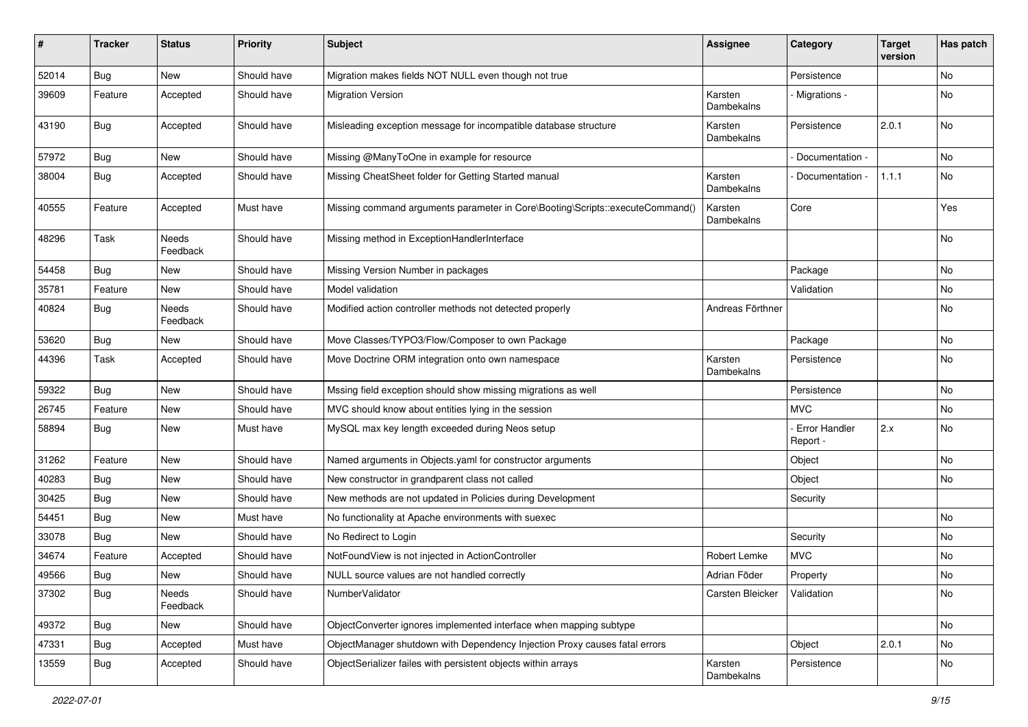| #     | <b>Tracker</b> | <b>Status</b>            | <b>Priority</b> | <b>Subject</b>                                                               | <b>Assignee</b>       | Category                    | <b>Target</b><br>version | Has patch |
|-------|----------------|--------------------------|-----------------|------------------------------------------------------------------------------|-----------------------|-----------------------------|--------------------------|-----------|
| 52014 | Bug            | New                      | Should have     | Migration makes fields NOT NULL even though not true                         |                       | Persistence                 |                          | No        |
| 39609 | Feature        | Accepted                 | Should have     | <b>Migration Version</b>                                                     | Karsten<br>Dambekalns | Migrations -                |                          | No        |
| 43190 | <b>Bug</b>     | Accepted                 | Should have     | Misleading exception message for incompatible database structure             | Karsten<br>Dambekalns | Persistence                 | 2.0.1                    | No        |
| 57972 | Bug            | New                      | Should have     | Missing @ManyToOne in example for resource                                   |                       | Documentation -             |                          | <b>No</b> |
| 38004 | Bug            | Accepted                 | Should have     | Missing CheatSheet folder for Getting Started manual                         | Karsten<br>Dambekalns | Documentation -             | 1.1.1                    | No        |
| 40555 | Feature        | Accepted                 | Must have       | Missing command arguments parameter in Core\Booting\Scripts::executeCommand( | Karsten<br>Dambekalns | Core                        |                          | Yes       |
| 48296 | Task           | <b>Needs</b><br>Feedback | Should have     | Missing method in ExceptionHandlerInterface                                  |                       |                             |                          | No        |
| 54458 | Bug            | New                      | Should have     | Missing Version Number in packages                                           |                       | Package                     |                          | <b>No</b> |
| 35781 | Feature        | New                      | Should have     | Model validation                                                             |                       | Validation                  |                          | No        |
| 40824 | Bug            | <b>Needs</b><br>Feedback | Should have     | Modified action controller methods not detected properly                     | Andreas Förthner      |                             |                          | No        |
| 53620 | Bug            | New                      | Should have     | Move Classes/TYPO3/Flow/Composer to own Package                              |                       | Package                     |                          | No        |
| 44396 | Task           | Accepted                 | Should have     | Move Doctrine ORM integration onto own namespace                             | Karsten<br>Dambekalns | Persistence                 |                          | No        |
| 59322 | <b>Bug</b>     | New                      | Should have     | Mssing field exception should show missing migrations as well                |                       | Persistence                 |                          | No        |
| 26745 | Feature        | New                      | Should have     | MVC should know about entities lying in the session                          |                       | MVC.                        |                          | No        |
| 58894 | <b>Bug</b>     | New                      | Must have       | MySQL max key length exceeded during Neos setup                              |                       | - Error Handler<br>Report - | 2.x                      | No        |
| 31262 | Feature        | New                      | Should have     | Named arguments in Objects.yaml for constructor arguments                    |                       | Object                      |                          | No        |
| 40283 | Bug            | New                      | Should have     | New constructor in grandparent class not called                              |                       | Object                      |                          | <b>No</b> |
| 30425 | <b>Bug</b>     | New                      | Should have     | New methods are not updated in Policies during Development                   |                       | Security                    |                          |           |
| 54451 | <b>Bug</b>     | New                      | Must have       | No functionality at Apache environments with suexec                          |                       |                             |                          | No        |
| 33078 | Bug            | New                      | Should have     | No Redirect to Login                                                         |                       | Security                    |                          | No        |
| 34674 | Feature        | Accepted                 | Should have     | NotFoundView is not injected in ActionController                             | Robert Lemke          | <b>MVC</b>                  |                          | No        |
| 49566 | <b>Bug</b>     | New                      | Should have     | NULL source values are not handled correctly                                 | Adrian Föder          | Property                    |                          | No        |
| 37302 | <b>Bug</b>     | Needs<br>Feedback        | Should have     | NumberValidator                                                              | Carsten Bleicker      | Validation                  |                          | No        |
| 49372 | <b>Bug</b>     | New                      | Should have     | ObjectConverter ignores implemented interface when mapping subtype           |                       |                             |                          | No        |
| 47331 | <b>Bug</b>     | Accepted                 | Must have       | ObjectManager shutdown with Dependency Injection Proxy causes fatal errors   |                       | Object                      | 2.0.1                    | No        |
| 13559 | <b>Bug</b>     | Accepted                 | Should have     | ObjectSerializer failes with persistent objects within arrays                | Karsten<br>Dambekalns | Persistence                 |                          | No        |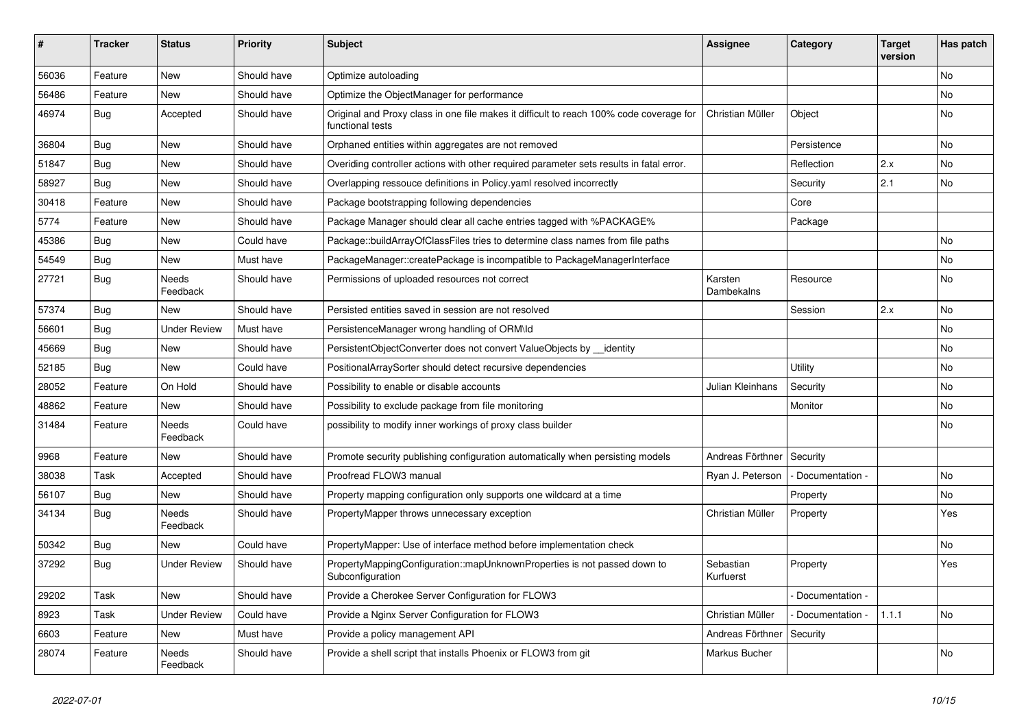| ∦     | <b>Tracker</b> | <b>Status</b>            | <b>Priority</b> | <b>Subject</b>                                                                                              | <b>Assignee</b>        | Category        | <b>Target</b><br>version | Has patch |
|-------|----------------|--------------------------|-----------------|-------------------------------------------------------------------------------------------------------------|------------------------|-----------------|--------------------------|-----------|
| 56036 | Feature        | New                      | Should have     | Optimize autoloading                                                                                        |                        |                 |                          | No        |
| 56486 | Feature        | New                      | Should have     | Optimize the ObjectManager for performance                                                                  |                        |                 |                          | No        |
| 46974 | <b>Bug</b>     | Accepted                 | Should have     | Original and Proxy class in one file makes it difficult to reach 100% code coverage for<br>functional tests | Christian Müller       | Object          |                          | No        |
| 36804 | Bug            | <b>New</b>               | Should have     | Orphaned entities within aggregates are not removed                                                         |                        | Persistence     |                          | No        |
| 51847 | <b>Bug</b>     | New                      | Should have     | Overiding controller actions with other required parameter sets results in fatal error.                     |                        | Reflection      | 2.x                      | No        |
| 58927 | <b>Bug</b>     | New                      | Should have     | Overlapping ressouce definitions in Policy yaml resolved incorrectly                                        |                        | Security        | 2.1                      | No        |
| 30418 | Feature        | New                      | Should have     | Package bootstrapping following dependencies                                                                |                        | Core            |                          |           |
| 5774  | Feature        | New                      | Should have     | Package Manager should clear all cache entries tagged with %PACKAGE%                                        |                        | Package         |                          |           |
| 45386 | <b>Bug</b>     | New                      | Could have      | Package::buildArrayOfClassFiles tries to determine class names from file paths                              |                        |                 |                          | No        |
| 54549 | <b>Bug</b>     | New                      | Must have       | PackageManager::createPackage is incompatible to PackageManagerInterface                                    |                        |                 |                          | No        |
| 27721 | Bug            | <b>Needs</b><br>Feedback | Should have     | Permissions of uploaded resources not correct                                                               | Karsten<br>Dambekalns  | Resource        |                          | No        |
| 57374 | Bug            | New                      | Should have     | Persisted entities saved in session are not resolved                                                        |                        | Session         | 2.x                      | No        |
| 56601 | <b>Bug</b>     | <b>Under Review</b>      | Must have       | PersistenceManager wrong handling of ORM\ld                                                                 |                        |                 |                          | No        |
| 45669 | <b>Bug</b>     | New                      | Should have     | PersistentObjectConverter does not convert ValueObjects by __identity                                       |                        |                 |                          | No        |
| 52185 | Bug            | New                      | Could have      | PositionalArraySorter should detect recursive dependencies                                                  |                        | Utility         |                          | No        |
| 28052 | Feature        | On Hold                  | Should have     | Possibility to enable or disable accounts                                                                   | Julian Kleinhans       | Security        |                          | No        |
| 48862 | Feature        | New                      | Should have     | Possibility to exclude package from file monitoring                                                         |                        | Monitor         |                          | No        |
| 31484 | Feature        | Needs<br>Feedback        | Could have      | possibility to modify inner workings of proxy class builder                                                 |                        |                 |                          | No        |
| 9968  | Feature        | New                      | Should have     | Promote security publishing configuration automatically when persisting models                              | Andreas Förthner       | Security        |                          |           |
| 38038 | Task           | Accepted                 | Should have     | Proofread FLOW3 manual                                                                                      | Ryan J. Peterson       | Documentation - |                          | No        |
| 56107 | <b>Bug</b>     | New                      | Should have     | Property mapping configuration only supports one wildcard at a time                                         |                        | Property        |                          | No        |
| 34134 | Bug            | Needs<br>Feedback        | Should have     | PropertyMapper throws unnecessary exception                                                                 | Christian Müller       | Property        |                          | Yes       |
| 50342 | <b>Bug</b>     | New                      | Could have      | PropertyMapper: Use of interface method before implementation check                                         |                        |                 |                          | No        |
| 37292 | Bug            | <b>Under Review</b>      | Should have     | PropertyMappingConfiguration::mapUnknownProperties is not passed down to<br>Subconfiguration                | Sebastian<br>Kurfuerst | Property        |                          | Yes       |
| 29202 | Task           | New                      | Should have     | Provide a Cherokee Server Configuration for FLOW3                                                           |                        | Documentation - |                          |           |
| 8923  | Task           | <b>Under Review</b>      | Could have      | Provide a Nginx Server Configuration for FLOW3                                                              | Christian Müller       | Documentation - | 1.1.1                    | No        |
| 6603  | Feature        | New                      | Must have       | Provide a policy management API                                                                             | Andreas Förthner       | Security        |                          |           |
| 28074 | Feature        | Needs<br>Feedback        | Should have     | Provide a shell script that installs Phoenix or FLOW3 from git                                              | Markus Bucher          |                 |                          | No        |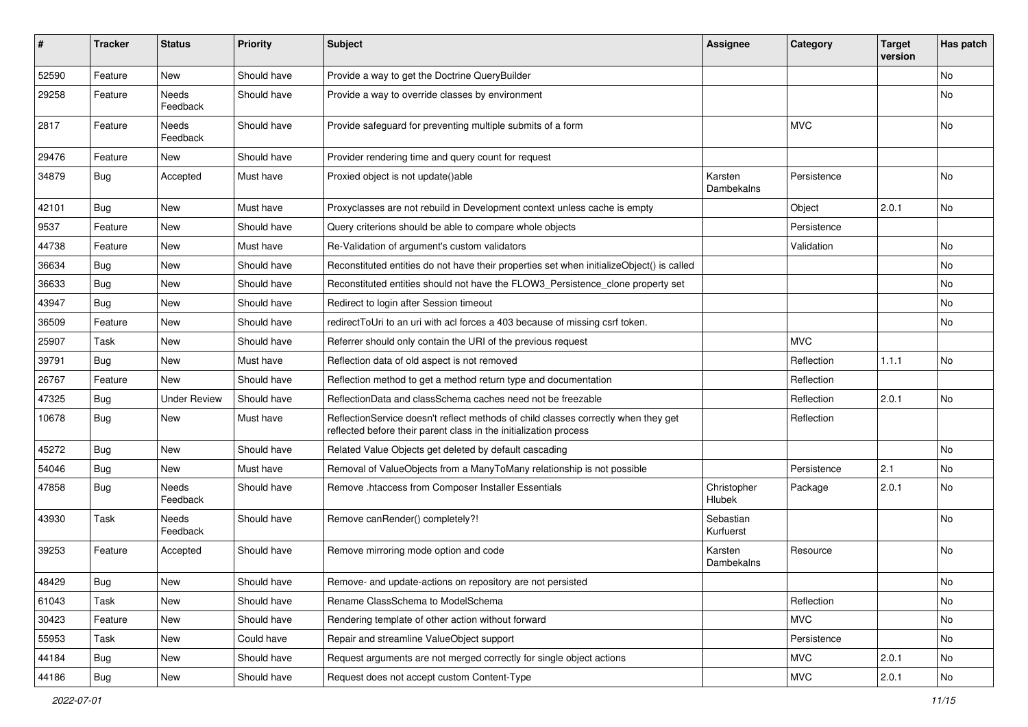| $\pmb{\#}$ | <b>Tracker</b> | <b>Status</b>       | <b>Priority</b> | <b>Subject</b>                                                                                                                                          | <b>Assignee</b>        | Category    | <b>Target</b><br>version | Has patch |
|------------|----------------|---------------------|-----------------|---------------------------------------------------------------------------------------------------------------------------------------------------------|------------------------|-------------|--------------------------|-----------|
| 52590      | Feature        | <b>New</b>          | Should have     | Provide a way to get the Doctrine QueryBuilder                                                                                                          |                        |             |                          | <b>No</b> |
| 29258      | Feature        | Needs<br>Feedback   | Should have     | Provide a way to override classes by environment                                                                                                        |                        |             |                          | No        |
| 2817       | Feature        | Needs<br>Feedback   | Should have     | Provide safeguard for preventing multiple submits of a form                                                                                             |                        | <b>MVC</b>  |                          | No        |
| 29476      | Feature        | New                 | Should have     | Provider rendering time and query count for request                                                                                                     |                        |             |                          |           |
| 34879      | <b>Bug</b>     | Accepted            | Must have       | Proxied object is not update()able                                                                                                                      | Karsten<br>Dambekalns  | Persistence |                          | No        |
| 42101      | <b>Bug</b>     | New                 | Must have       | Proxyclasses are not rebuild in Development context unless cache is empty                                                                               |                        | Object      | 2.0.1                    | No        |
| 9537       | Feature        | New                 | Should have     | Query criterions should be able to compare whole objects                                                                                                |                        | Persistence |                          |           |
| 44738      | Feature        | New                 | Must have       | Re-Validation of argument's custom validators                                                                                                           |                        | Validation  |                          | No        |
| 36634      | Bug            | New                 | Should have     | Reconstituted entities do not have their properties set when initializeObject() is called                                                               |                        |             |                          | No        |
| 36633      | <b>Bug</b>     | New                 | Should have     | Reconstituted entities should not have the FLOW3_Persistence_clone property set                                                                         |                        |             |                          | No        |
| 43947      | <b>Bug</b>     | <b>New</b>          | Should have     | Redirect to login after Session timeout                                                                                                                 |                        |             |                          | <b>No</b> |
| 36509      | Feature        | New                 | Should have     | redirectToUri to an uri with acl forces a 403 because of missing csrf token.                                                                            |                        |             |                          | No        |
| 25907      | Task           | New                 | Should have     | Referrer should only contain the URI of the previous request                                                                                            |                        | <b>MVC</b>  |                          |           |
| 39791      | Bug            | New                 | Must have       | Reflection data of old aspect is not removed                                                                                                            |                        | Reflection  | 1.1.1                    | <b>No</b> |
| 26767      | Feature        | New                 | Should have     | Reflection method to get a method return type and documentation                                                                                         |                        | Reflection  |                          |           |
| 47325      | Bug            | <b>Under Review</b> | Should have     | ReflectionData and classSchema caches need not be freezable                                                                                             |                        | Reflection  | 2.0.1                    | <b>No</b> |
| 10678      | <b>Bug</b>     | New                 | Must have       | ReflectionService doesn't reflect methods of child classes correctly when they get<br>reflected before their parent class in the initialization process |                        | Reflection  |                          |           |
| 45272      | Bug            | New                 | Should have     | Related Value Objects get deleted by default cascading                                                                                                  |                        |             |                          | No        |
| 54046      | <b>Bug</b>     | <b>New</b>          | Must have       | Removal of ValueObjects from a ManyToMany relationship is not possible                                                                                  |                        | Persistence | 2.1                      | <b>No</b> |
| 47858      | Bug            | Needs<br>Feedback   | Should have     | Remove .htaccess from Composer Installer Essentials                                                                                                     | Christopher<br>Hlubek  | Package     | 2.0.1                    | No        |
| 43930      | Task           | Needs<br>Feedback   | Should have     | Remove canRender() completely?!                                                                                                                         | Sebastian<br>Kurfuerst |             |                          | No        |
| 39253      | Feature        | Accepted            | Should have     | Remove mirroring mode option and code                                                                                                                   | Karsten<br>Dambekalns  | Resource    |                          | <b>No</b> |
| 48429      | <b>Bug</b>     | New                 | Should have     | Remove- and update-actions on repository are not persisted                                                                                              |                        |             |                          | No        |
| 61043      | Task           | New                 | Should have     | Rename ClassSchema to ModelSchema                                                                                                                       |                        | Reflection  |                          | No        |
| 30423      | Feature        | New                 | Should have     | Rendering template of other action without forward                                                                                                      |                        | <b>MVC</b>  |                          | No        |
| 55953      | Task           | New                 | Could have      | Repair and streamline ValueObject support                                                                                                               |                        | Persistence |                          | No        |
| 44184      | <b>Bug</b>     | New                 | Should have     | Request arguments are not merged correctly for single object actions                                                                                    |                        | MVC         | 2.0.1                    | No        |
| 44186      | <b>Bug</b>     | New                 | Should have     | Request does not accept custom Content-Type                                                                                                             |                        | <b>MVC</b>  | 2.0.1                    | No        |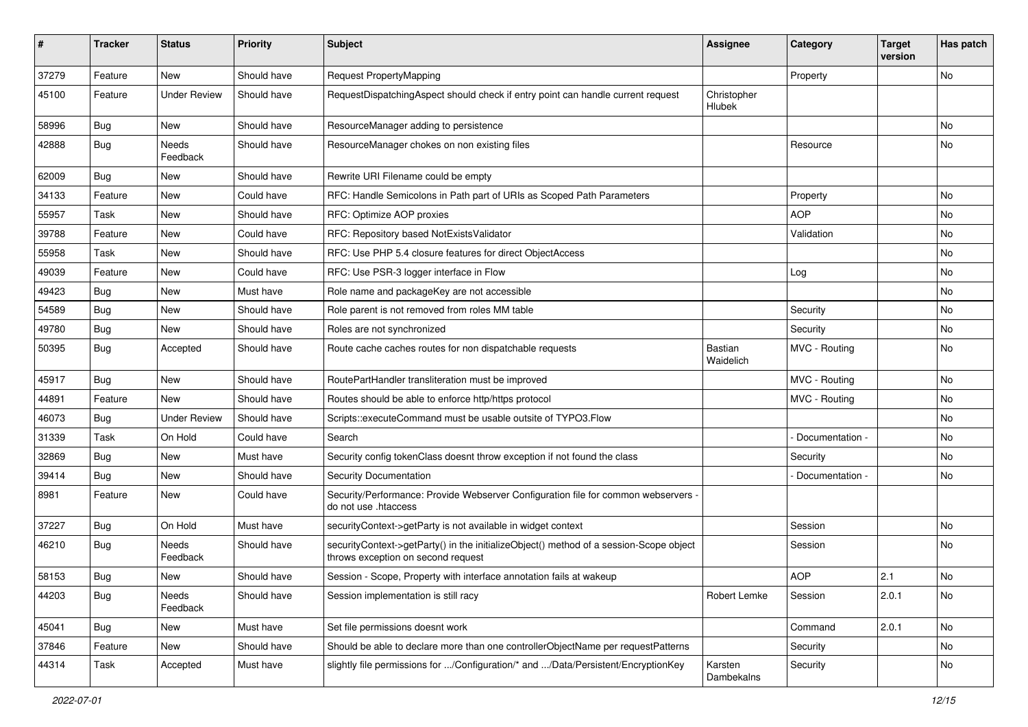| ∦     | <b>Tracker</b> | <b>Status</b>       | <b>Priority</b> | <b>Subject</b>                                                                                                               | Assignee              | Category        | <b>Target</b><br>version | Has patch |
|-------|----------------|---------------------|-----------------|------------------------------------------------------------------------------------------------------------------------------|-----------------------|-----------------|--------------------------|-----------|
| 37279 | Feature        | <b>New</b>          | Should have     | Request PropertyMapping                                                                                                      |                       | Property        |                          | No        |
| 45100 | Feature        | <b>Under Review</b> | Should have     | RequestDispatchingAspect should check if entry point can handle current request                                              | Christopher<br>Hlubek |                 |                          |           |
| 58996 | Bug            | <b>New</b>          | Should have     | ResourceManager adding to persistence                                                                                        |                       |                 |                          | No        |
| 42888 | Bug            | Needs<br>Feedback   | Should have     | ResourceManager chokes on non existing files                                                                                 |                       | Resource        |                          | No        |
| 62009 | Bug            | <b>New</b>          | Should have     | Rewrite URI Filename could be empty                                                                                          |                       |                 |                          |           |
| 34133 | Feature        | <b>New</b>          | Could have      | RFC: Handle Semicolons in Path part of URIs as Scoped Path Parameters                                                        |                       | Property        |                          | No        |
| 55957 | Task           | <b>New</b>          | Should have     | RFC: Optimize AOP proxies                                                                                                    |                       | <b>AOP</b>      |                          | No        |
| 39788 | Feature        | <b>New</b>          | Could have      | RFC: Repository based NotExistsValidator                                                                                     |                       | Validation      |                          | No        |
| 55958 | Task           | <b>New</b>          | Should have     | RFC: Use PHP 5.4 closure features for direct ObjectAccess                                                                    |                       |                 |                          | No        |
| 49039 | Feature        | <b>New</b>          | Could have      | RFC: Use PSR-3 logger interface in Flow                                                                                      |                       | Log             |                          | No        |
| 49423 | <b>Bug</b>     | New                 | Must have       | Role name and packageKey are not accessible                                                                                  |                       |                 |                          | No        |
| 54589 | Bug            | <b>New</b>          | Should have     | Role parent is not removed from roles MM table                                                                               |                       | Security        |                          | No        |
| 49780 | <b>Bug</b>     | New                 | Should have     | Roles are not synchronized                                                                                                   |                       | Security        |                          | No        |
| 50395 | <b>Bug</b>     | Accepted            | Should have     | Route cache caches routes for non dispatchable requests                                                                      | Bastian<br>Waidelich  | MVC - Routing   |                          | No        |
| 45917 | <b>Bug</b>     | <b>New</b>          | Should have     | RoutePartHandler transliteration must be improved                                                                            |                       | MVC - Routing   |                          | No.       |
| 44891 | Feature        | <b>New</b>          | Should have     | Routes should be able to enforce http/https protocol                                                                         |                       | MVC - Routing   |                          | No        |
| 46073 | <b>Bug</b>     | <b>Under Review</b> | Should have     | Scripts::executeCommand must be usable outsite of TYPO3.Flow                                                                 |                       |                 |                          | No        |
| 31339 | Task           | On Hold             | Could have      | Search                                                                                                                       |                       | Documentation - |                          | No        |
| 32869 | Bug            | <b>New</b>          | Must have       | Security config tokenClass doesnt throw exception if not found the class                                                     |                       | Security        |                          | No        |
| 39414 | <b>Bug</b>     | <b>New</b>          | Should have     | Security Documentation                                                                                                       |                       | Documentation - |                          | No        |
| 8981  | Feature        | <b>New</b>          | Could have      | Security/Performance: Provide Webserver Configuration file for common webservers -<br>do not use .htaccess                   |                       |                 |                          |           |
| 37227 | Bug            | On Hold             | Must have       | securityContext->getParty is not available in widget context                                                                 |                       | Session         |                          | No        |
| 46210 | <b>Bug</b>     | Needs<br>Feedback   | Should have     | securityContext->getParty() in the initializeObject() method of a session-Scope object<br>throws exception on second request |                       | Session         |                          | No        |
| 58153 | Bug            | <b>New</b>          | Should have     | Session - Scope, Property with interface annotation fails at wakeup                                                          |                       | <b>AOP</b>      | 2.1                      | No        |
| 44203 | <b>Bug</b>     | Needs<br>Feedback   | Should have     | Session implementation is still racy                                                                                         | Robert Lemke          | Session         | 2.0.1                    | No        |
| 45041 | Bug            | New                 | Must have       | Set file permissions doesnt work                                                                                             |                       | Command         | 2.0.1                    | No        |
| 37846 | Feature        | New                 | Should have     | Should be able to declare more than one controllerObjectName per requestPatterns                                             |                       | Security        |                          | No        |
| 44314 | Task           | Accepted            | Must have       | slightly file permissions for /Configuration/* and /Data/Persistent/EncryptionKey                                            | Karsten<br>Dambekalns | Security        |                          | No        |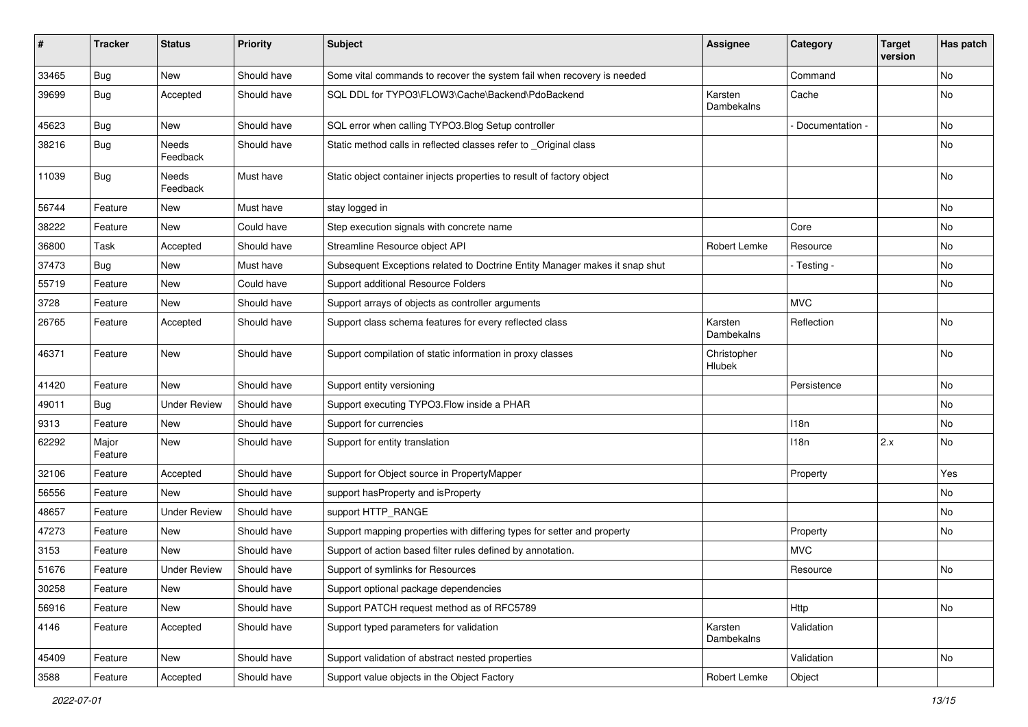| ∦     | <b>Tracker</b>   | <b>Status</b>       | <b>Priority</b> | <b>Subject</b>                                                              | Assignee              | Category        | <b>Target</b><br>version | Has patch |
|-------|------------------|---------------------|-----------------|-----------------------------------------------------------------------------|-----------------------|-----------------|--------------------------|-----------|
| 33465 | <b>Bug</b>       | New                 | Should have     | Some vital commands to recover the system fail when recovery is needed      |                       | Command         |                          | No        |
| 39699 | <b>Bug</b>       | Accepted            | Should have     | SQL DDL for TYPO3\FLOW3\Cache\Backend\PdoBackend                            | Karsten<br>Dambekalns | Cache           |                          | No        |
| 45623 | <b>Bug</b>       | New                 | Should have     | SQL error when calling TYPO3. Blog Setup controller                         |                       | Documentation - |                          | No        |
| 38216 | <b>Bug</b>       | Needs<br>Feedback   | Should have     | Static method calls in reflected classes refer to _Original class           |                       |                 |                          | No        |
| 11039 | <b>Bug</b>       | Needs<br>Feedback   | Must have       | Static object container injects properties to result of factory object      |                       |                 |                          | <b>No</b> |
| 56744 | Feature          | New                 | Must have       | stay logged in                                                              |                       |                 |                          | No        |
| 38222 | Feature          | New                 | Could have      | Step execution signals with concrete name                                   |                       | Core            |                          | No        |
| 36800 | Task             | Accepted            | Should have     | Streamline Resource object API                                              | Robert Lemke          | Resource        |                          | No        |
| 37473 | <b>Bug</b>       | New                 | Must have       | Subsequent Exceptions related to Doctrine Entity Manager makes it snap shut |                       | - Testing -     |                          | No        |
| 55719 | Feature          | New                 | Could have      | Support additional Resource Folders                                         |                       |                 |                          | No        |
| 3728  | Feature          | New                 | Should have     | Support arrays of objects as controller arguments                           |                       | <b>MVC</b>      |                          |           |
| 26765 | Feature          | Accepted            | Should have     | Support class schema features for every reflected class                     | Karsten<br>Dambekalns | Reflection      |                          | No        |
| 46371 | Feature          | New                 | Should have     | Support compilation of static information in proxy classes                  | Christopher<br>Hlubek |                 |                          | No        |
| 41420 | Feature          | New                 | Should have     | Support entity versioning                                                   |                       | Persistence     |                          | No        |
| 49011 | <b>Bug</b>       | <b>Under Review</b> | Should have     | Support executing TYPO3.Flow inside a PHAR                                  |                       |                 |                          | No        |
| 9313  | Feature          | <b>New</b>          | Should have     | Support for currencies                                                      |                       | 118n            |                          | No        |
| 62292 | Major<br>Feature | New                 | Should have     | Support for entity translation                                              |                       | 118n            | 2.x                      | No        |
| 32106 | Feature          | Accepted            | Should have     | Support for Object source in PropertyMapper                                 |                       | Property        |                          | Yes       |
| 56556 | Feature          | <b>New</b>          | Should have     | support has Property and is Property                                        |                       |                 |                          | No        |
| 48657 | Feature          | <b>Under Review</b> | Should have     | support HTTP_RANGE                                                          |                       |                 |                          | No        |
| 47273 | Feature          | New                 | Should have     | Support mapping properties with differing types for setter and property     |                       | Property        |                          | No        |
| 3153  | Feature          | <b>New</b>          | Should have     | Support of action based filter rules defined by annotation.                 |                       | <b>MVC</b>      |                          |           |
| 51676 | Feature          | <b>Under Review</b> | Should have     | Support of symlinks for Resources                                           |                       | Resource        |                          | No        |
| 30258 | Feature          | New                 | Should have     | Support optional package dependencies                                       |                       |                 |                          |           |
| 56916 | Feature          | New                 | Should have     | Support PATCH request method as of RFC5789                                  |                       | Http            |                          | No        |
| 4146  | Feature          | Accepted            | Should have     | Support typed parameters for validation                                     | Karsten<br>Dambekalns | Validation      |                          |           |
| 45409 | Feature          | New                 | Should have     | Support validation of abstract nested properties                            |                       | Validation      |                          | No        |
| 3588  | Feature          | Accepted            | Should have     | Support value objects in the Object Factory                                 | Robert Lemke          | Object          |                          |           |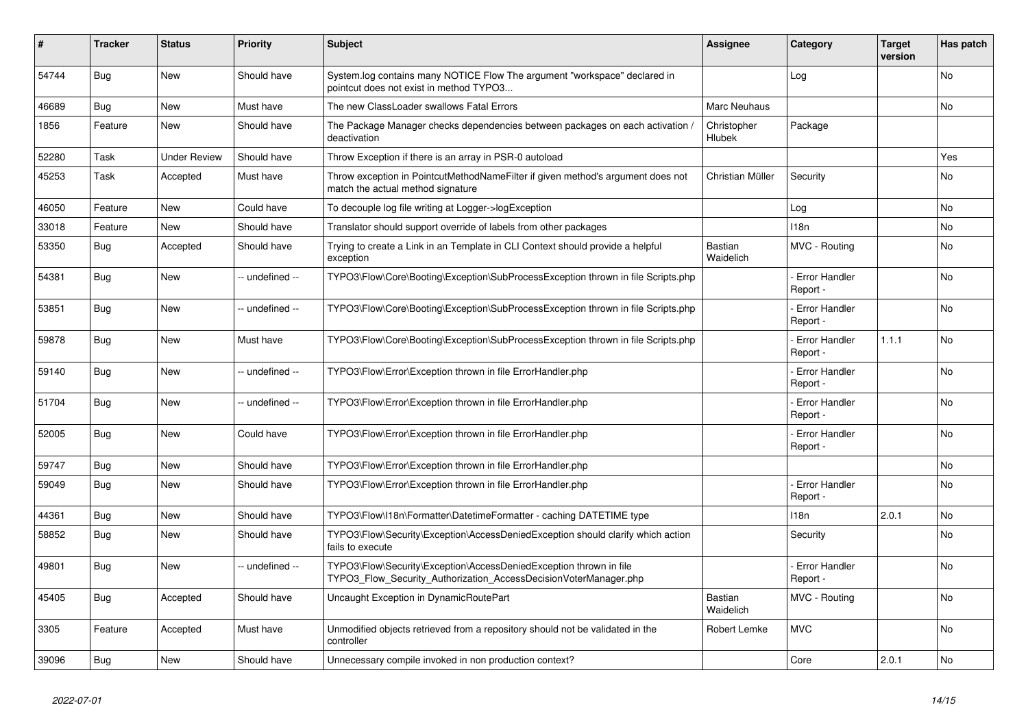| #     | <b>Tracker</b> | <b>Status</b>       | <b>Priority</b> | <b>Subject</b>                                                                                                                         | <b>Assignee</b>             | Category                         | <b>Target</b><br>version | Has patch |
|-------|----------------|---------------------|-----------------|----------------------------------------------------------------------------------------------------------------------------------------|-----------------------------|----------------------------------|--------------------------|-----------|
| 54744 | <b>Bug</b>     | <b>New</b>          | Should have     | System.log contains many NOTICE Flow The argument "workspace" declared in<br>pointcut does not exist in method TYPO3                   |                             | Log                              |                          | <b>No</b> |
| 46689 | Bug            | <b>New</b>          | Must have       | The new ClassLoader swallows Fatal Errors                                                                                              | Marc Neuhaus                |                                  |                          | <b>No</b> |
| 1856  | Feature        | <b>New</b>          | Should have     | The Package Manager checks dependencies between packages on each activation,<br>deactivation                                           | Christopher<br>Hlubek       | Package                          |                          |           |
| 52280 | Task           | <b>Under Review</b> | Should have     | Throw Exception if there is an array in PSR-0 autoload                                                                                 |                             |                                  |                          | Yes       |
| 45253 | Task           | Accepted            | Must have       | Throw exception in PointcutMethodNameFilter if given method's argument does not<br>match the actual method signature                   | Christian Müller            | Security                         |                          | <b>No</b> |
| 46050 | Feature        | <b>New</b>          | Could have      | To decouple log file writing at Logger->logException                                                                                   |                             | Log                              |                          | No        |
| 33018 | Feature        | <b>New</b>          | Should have     | Translator should support override of labels from other packages                                                                       |                             | 118n                             |                          | No        |
| 53350 | Bug            | Accepted            | Should have     | Trying to create a Link in an Template in CLI Context should provide a helpful<br>exception                                            | Bastian<br>Waidelich        | MVC - Routing                    |                          | No        |
| 54381 | Bug            | <b>New</b>          | -- undefined -- | TYPO3\Flow\Core\Booting\Exception\SubProcessException thrown in file Scripts.php                                                       |                             | Error Handler<br>Report -        |                          | <b>No</b> |
| 53851 | Bug            | <b>New</b>          | -- undefined -- | TYPO3\Flow\Core\Booting\Exception\SubProcessException thrown in file Scripts.php                                                       |                             | <b>Error Handler</b><br>Report - |                          | <b>No</b> |
| 59878 | <b>Bug</b>     | <b>New</b>          | Must have       | TYPO3\Flow\Core\Booting\Exception\SubProcessException thrown in file Scripts.php                                                       |                             | <b>Error Handler</b><br>Report - | 1.1.1                    | No        |
| 59140 | Bug            | New                 | -- undefined -- | TYPO3\Flow\Error\Exception thrown in file ErrorHandler.php                                                                             |                             | <b>Error Handler</b><br>Report - |                          | No        |
| 51704 | Bug            | <b>New</b>          | -- undefined -- | TYPO3\Flow\Error\Exception thrown in file ErrorHandler.php                                                                             |                             | <b>Error Handler</b><br>Report - |                          | <b>No</b> |
| 52005 | Bug            | New                 | Could have      | TYPO3\Flow\Error\Exception thrown in file ErrorHandler.php                                                                             |                             | <b>Error Handler</b><br>Report - |                          | <b>No</b> |
| 59747 | Bug            | New                 | Should have     | TYPO3\Flow\Error\Exception thrown in file ErrorHandler.php                                                                             |                             |                                  |                          | <b>No</b> |
| 59049 | Bug            | New                 | Should have     | TYPO3\Flow\Error\Exception thrown in file ErrorHandler.php                                                                             |                             | Error Handler<br>Report -        |                          | <b>No</b> |
| 44361 | Bug            | <b>New</b>          | Should have     | TYPO3\Flow\I18n\Formatter\DatetimeFormatter - caching DATETIME type                                                                    |                             | 118n                             | 2.0.1                    | <b>No</b> |
| 58852 | Bug            | New                 | Should have     | TYPO3\Flow\Security\Exception\AccessDeniedException should clarify which action<br>fails to execute                                    |                             | Security                         |                          | <b>No</b> |
| 49801 | Bug            | <b>New</b>          | -- undefined -- | TYPO3\Flow\Security\Exception\AccessDeniedException thrown in file<br>TYPO3 Flow Security Authorization AccessDecisionVoterManager.php |                             | Error Handler<br>Report -        |                          | No        |
| 45405 | <b>Bug</b>     | Accepted            | Should have     | Uncaught Exception in DynamicRoutePart                                                                                                 | <b>Bastian</b><br>Waidelich | MVC - Routing                    |                          | <b>No</b> |
| 3305  | Feature        | Accepted            | Must have       | Unmodified objects retrieved from a repository should not be validated in the<br>controller                                            | Robert Lemke                | <b>MVC</b>                       |                          | <b>No</b> |
| 39096 | Bug            | New                 | Should have     | Unnecessary compile invoked in non production context?                                                                                 |                             | Core                             | 2.0.1                    | No        |